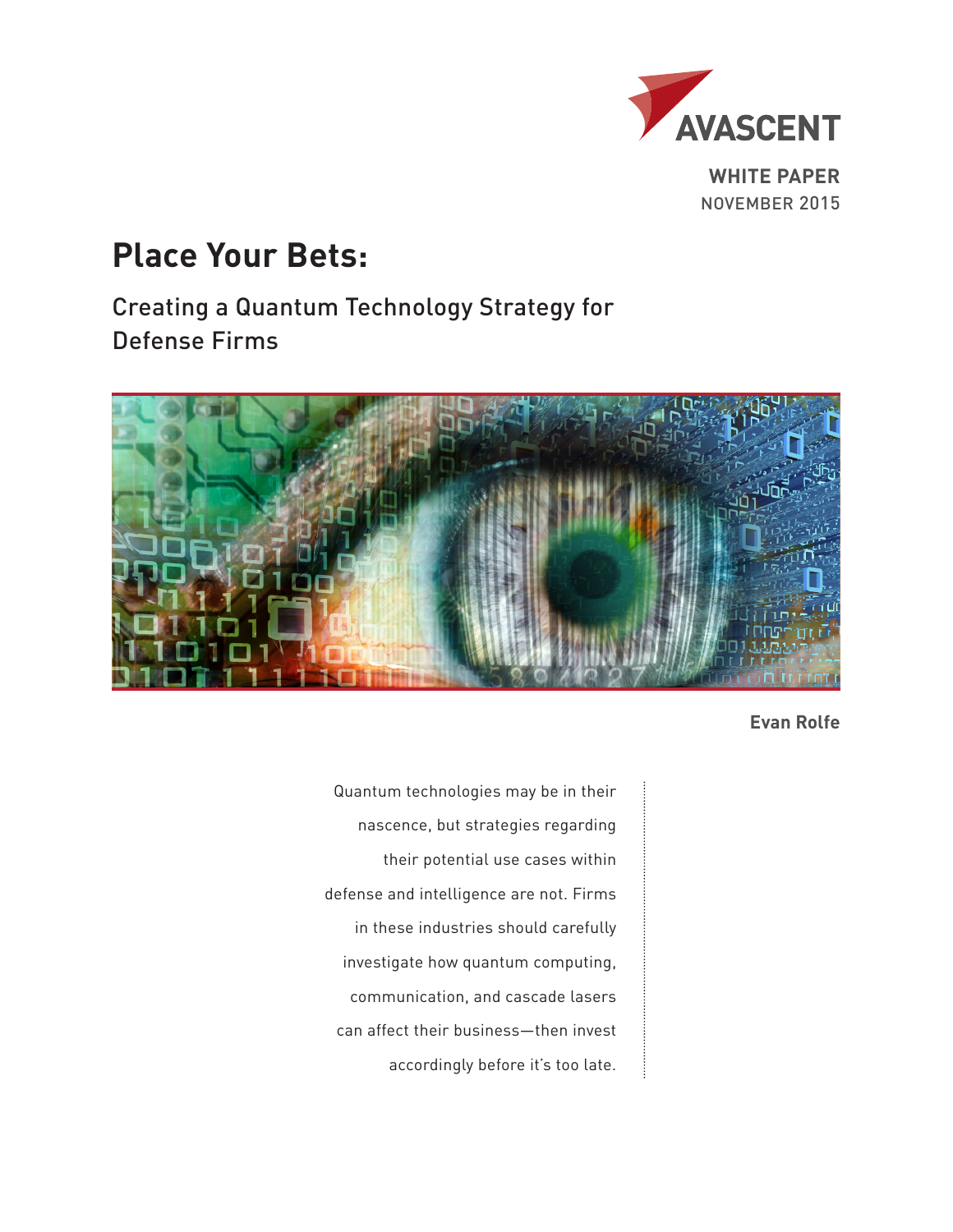

**WHITE PAPER** NOVEMBER 2015

# **Place Your Bets:**

Creating a Quantum Technology Strategy for Defense Firms



**Evan Rolfe**

Quantum technologies may be in their nascence, but strategies regarding their potential use cases within defense and intelligence are not. Firms in these industries should carefully investigate how quantum computing, communication, and cascade lasers can affect their business—then invest accordingly before it's too late.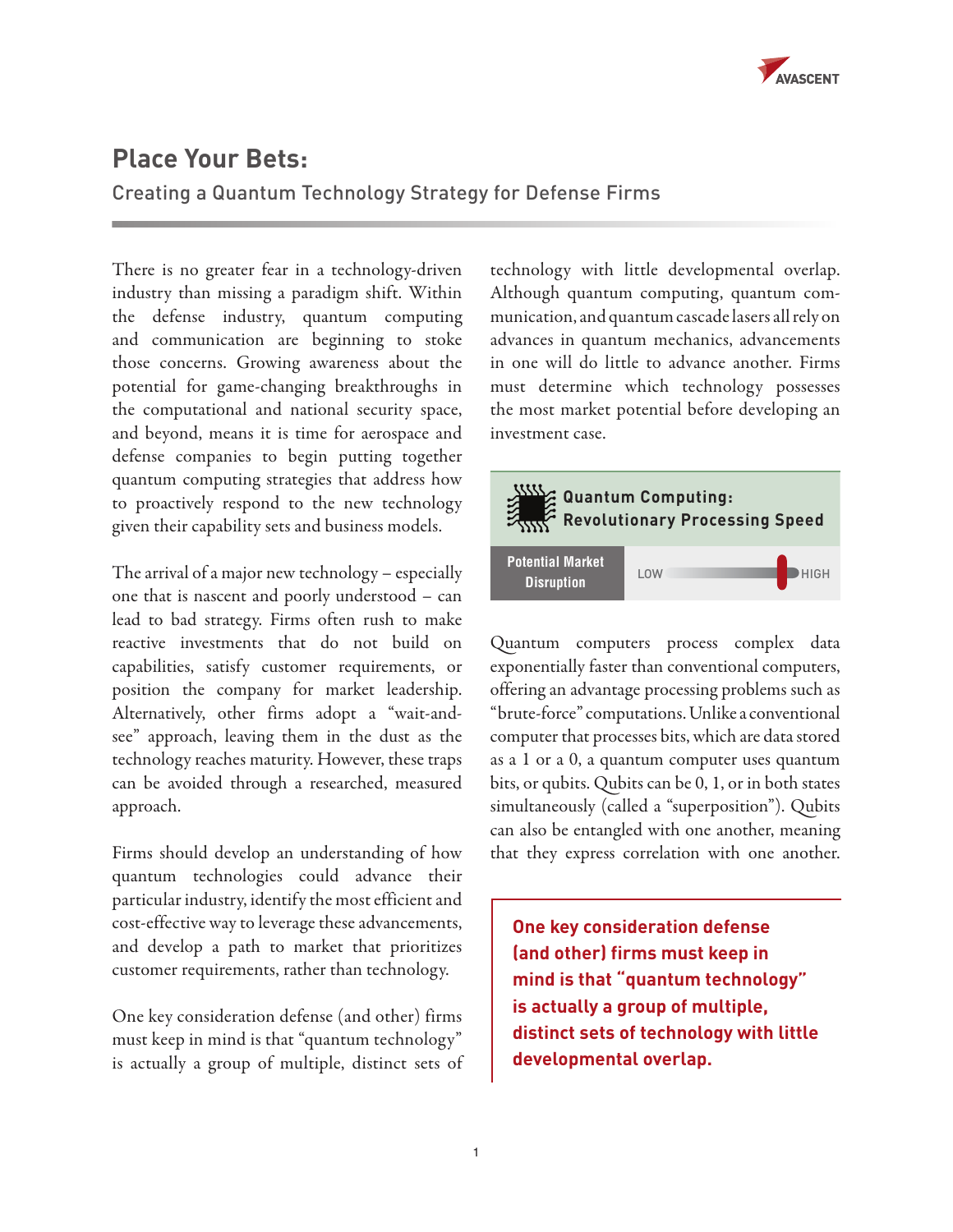

# **Place Your Bets:**

Creating a Quantum Technology Strategy for Defense Firms

There is no greater fear in a technology-driven industry than missing a paradigm shift. Within the defense industry, quantum computing and communication are beginning to stoke those concerns. Growing awareness about the potential for game-changing breakthroughs in the computational and national security space, and beyond, means it is time for aerospace and defense companies to begin putting together quantum computing strategies that address how to proactively respond to the new technology given their capability sets and business models.

The arrival of a major new technology – especially one that is nascent and poorly understood – can lead to bad strategy. Firms often rush to make reactive investments that do not build on capabilities, satisfy customer requirements, or position the company for market leadership. Alternatively, other firms adopt a "wait-andsee" approach, leaving them in the dust as the technology reaches maturity. However, these traps can be avoided through a researched, measured approach.

Firms should develop an understanding of how quantum technologies could advance their particular industry, identify the most efficient and cost-effective way to leverage these advancements, and develop a path to market that prioritizes customer requirements, rather than technology.

One key consideration defense (and other) firms must keep in mind is that "quantum technology" is actually a group of multiple, distinct sets of

technology with little developmental overlap. Although quantum computing, quantum communication, and quantum cascade lasers all rely on advances in quantum mechanics, advancements in one will do little to advance another. Firms must determine which technology possesses the most market potential before developing an investment case.



Quantum computers process complex data exponentially faster than conventional computers, offering an advantage processing problems such as "brute-force" computations. Unlike a conventional computer that processes bits, which are data stored as a 1 or a 0, a quantum computer uses quantum bits, or qubits. Qubits can be 0, 1, or in both states simultaneously (called a "superposition"). Qubits can also be entangled with one another, meaning that they express correlation with one another.

**One key consideration defense (and other) firms must keep in mind is that "quantum technology" is actually a group of multiple, distinct sets of technology with little developmental overlap.**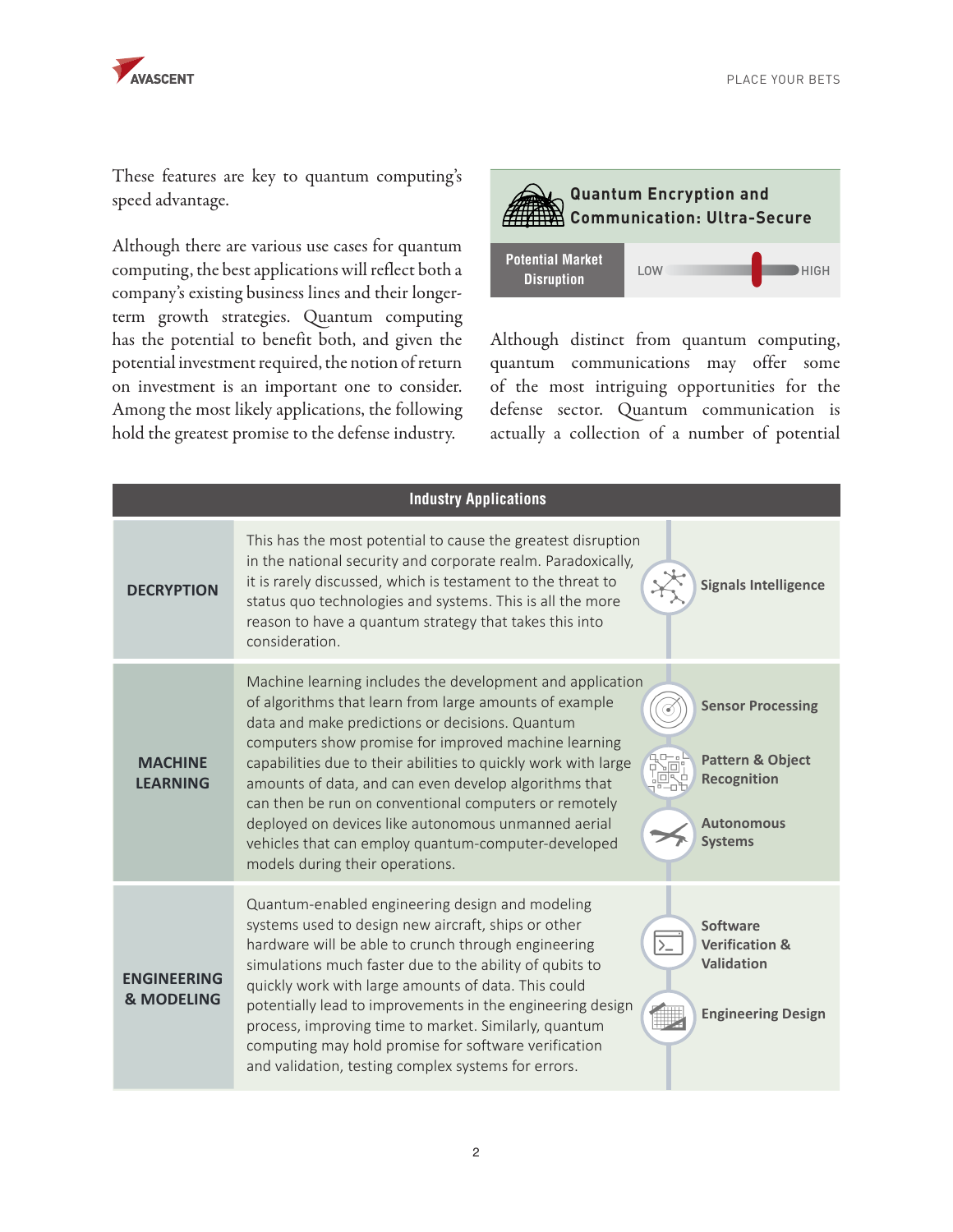

These features are key to quantum computing's speed advantage.

Although there are various use cases for quantum computing, the best applications will reflect both a company's existing business lines and their longerterm growth strategies. Quantum computing has the potential to benefit both, and given the potential investment required, the notion of return on investment is an important one to consider. Among the most likely applications, the following hold the greatest promise to the defense industry.

**Quantum Encryption and Communication: Ultra-Secure** LOW **HIGH Potential Market Disruption**

Although distinct from quantum computing, quantum communications may offer some of the most intriguing opportunities for the defense sector. Quantum communication is actually a collection of a number of potential

| <b>Industry Applications</b>                |                                                                                                                                                                                                                                                                                                                                                                                                                                                                                                                                                                                                                                                                                              |
|---------------------------------------------|----------------------------------------------------------------------------------------------------------------------------------------------------------------------------------------------------------------------------------------------------------------------------------------------------------------------------------------------------------------------------------------------------------------------------------------------------------------------------------------------------------------------------------------------------------------------------------------------------------------------------------------------------------------------------------------------|
| <b>DECRYPTION</b>                           | This has the most potential to cause the greatest disruption<br>in the national security and corporate realm. Paradoxically,<br>it is rarely discussed, which is testament to the threat to<br><b>Signals Intelligence</b><br>status quo technologies and systems. This is all the more<br>reason to have a quantum strategy that takes this into<br>consideration.                                                                                                                                                                                                                                                                                                                          |
| <b>MACHINE</b><br><b>LEARNING</b>           | Machine learning includes the development and application<br>of algorithms that learn from large amounts of example<br><b>Sensor Processing</b><br>data and make predictions or decisions. Quantum<br>computers show promise for improved machine learning<br>456°<br><b>Pattern &amp; Object</b><br>capabilities due to their abilities to quickly work with large<br>Recognition<br>amounts of data, and can even develop algorithms that<br>can then be run on conventional computers or remotely<br>deployed on devices like autonomous unmanned aerial<br><b>Autonomous</b><br><b>Systems</b><br>vehicles that can employ quantum-computer-developed<br>models during their operations. |
| <b>FNGINFFRING</b><br><b>&amp; MODELING</b> | Quantum-enabled engineering design and modeling<br>systems used to design new aircraft, ships or other<br>Software<br>hardware will be able to crunch through engineering<br><b>Verification &amp;</b><br>Validation<br>simulations much faster due to the ability of qubits to<br>quickly work with large amounts of data. This could<br>potentially lead to improvements in the engineering design<br><b>Engineering Design</b><br>process, improving time to market. Similarly, quantum<br>computing may hold promise for software verification<br>and validation, testing complex systems for errors.                                                                                    |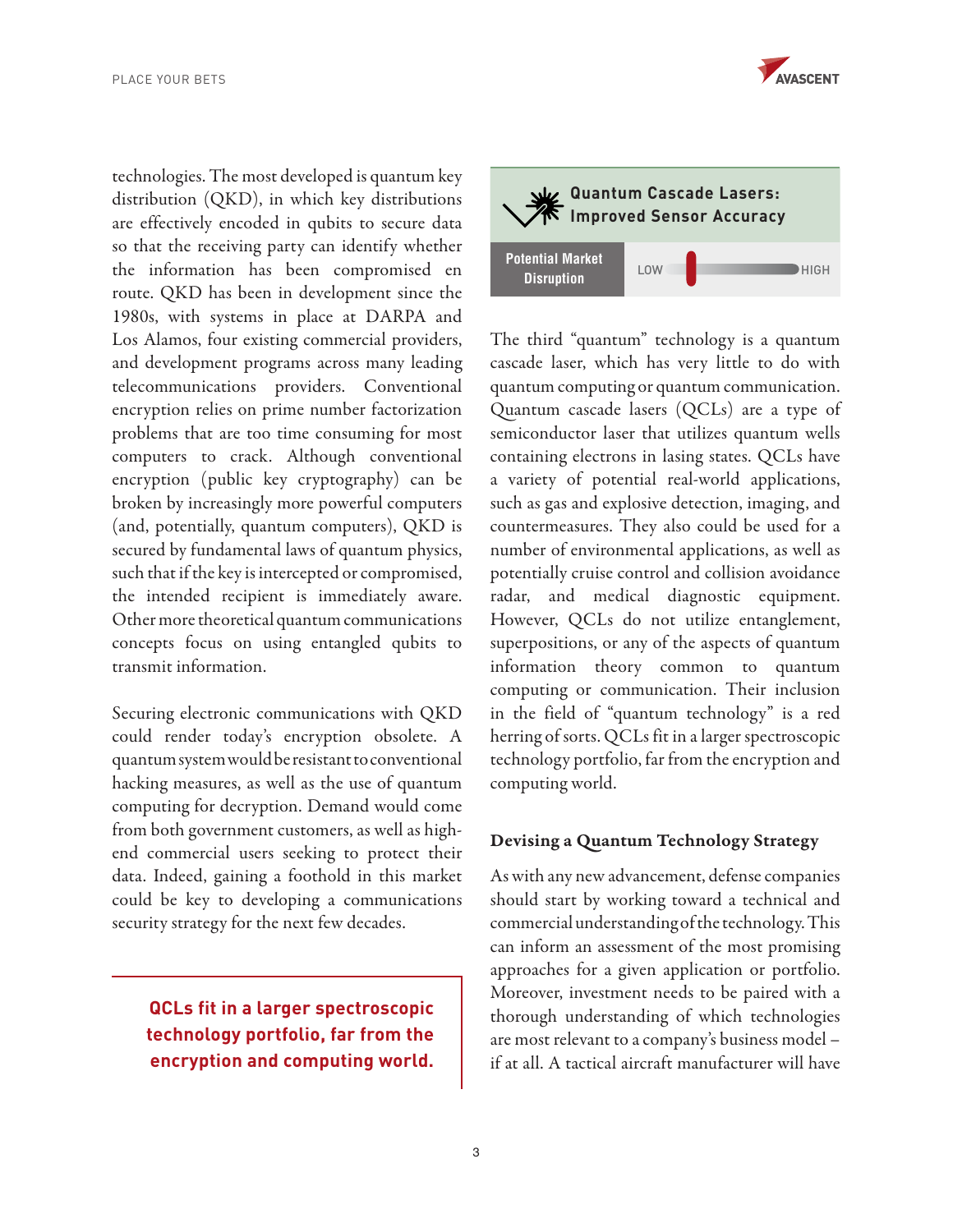

technologies. The most developed is quantum key distribution (QKD), in which key distributions are effectively encoded in qubits to secure data so that the receiving party can identify whether the information has been compromised en route. QKD has been in development since the 1980s, with systems in place at DARPA and Los Alamos, four existing commercial providers, and development programs across many leading telecommunications providers. Conventional encryption relies on prime number factorization problems that are too time consuming for most computers to crack. Although conventional encryption (public key cryptography) can be broken by increasingly more powerful computers (and, potentially, quantum computers), QKD is secured by fundamental laws of quantum physics, such that if the key is intercepted or compromised, the intended recipient is immediately aware. Other more theoretical quantum communications concepts focus on using entangled qubits to transmit information.

Securing electronic communications with QKD could render today's encryption obsolete. A quantum system would be resistant to conventional hacking measures, as well as the use of quantum computing for decryption. Demand would come from both government customers, as well as highend commercial users seeking to protect their data. Indeed, gaining a foothold in this market could be key to developing a communications security strategy for the next few decades.

**QCLs fit in a larger spectroscopic technology portfolio, far from the encryption and computing world.**



The third "quantum" technology is a quantum cascade laser, which has very little to do with quantum computing or quantum communication. Quantum cascade lasers (QCLs) are a type of semiconductor laser that utilizes quantum wells containing electrons in lasing states. QCLs have a variety of potential real-world applications, such as gas and explosive detection, imaging, and countermeasures. They also could be used for a number of environmental applications, as well as potentially cruise control and collision avoidance radar, and medical diagnostic equipment. However, QCLs do not utilize entanglement, superpositions, or any of the aspects of quantum information theory common to quantum computing or communication. Their inclusion in the field of "quantum technology" is a red herring of sorts. QCLs fit in a larger spectroscopic technology portfolio, far from the encryption and computing world.

#### Devising a Quantum Technology Strategy

As with any new advancement, defense companies should start by working toward a technical and commercial understanding of the technology. This can inform an assessment of the most promising approaches for a given application or portfolio. Moreover, investment needs to be paired with a thorough understanding of which technologies are most relevant to a company's business model – if at all. A tactical aircraft manufacturer will have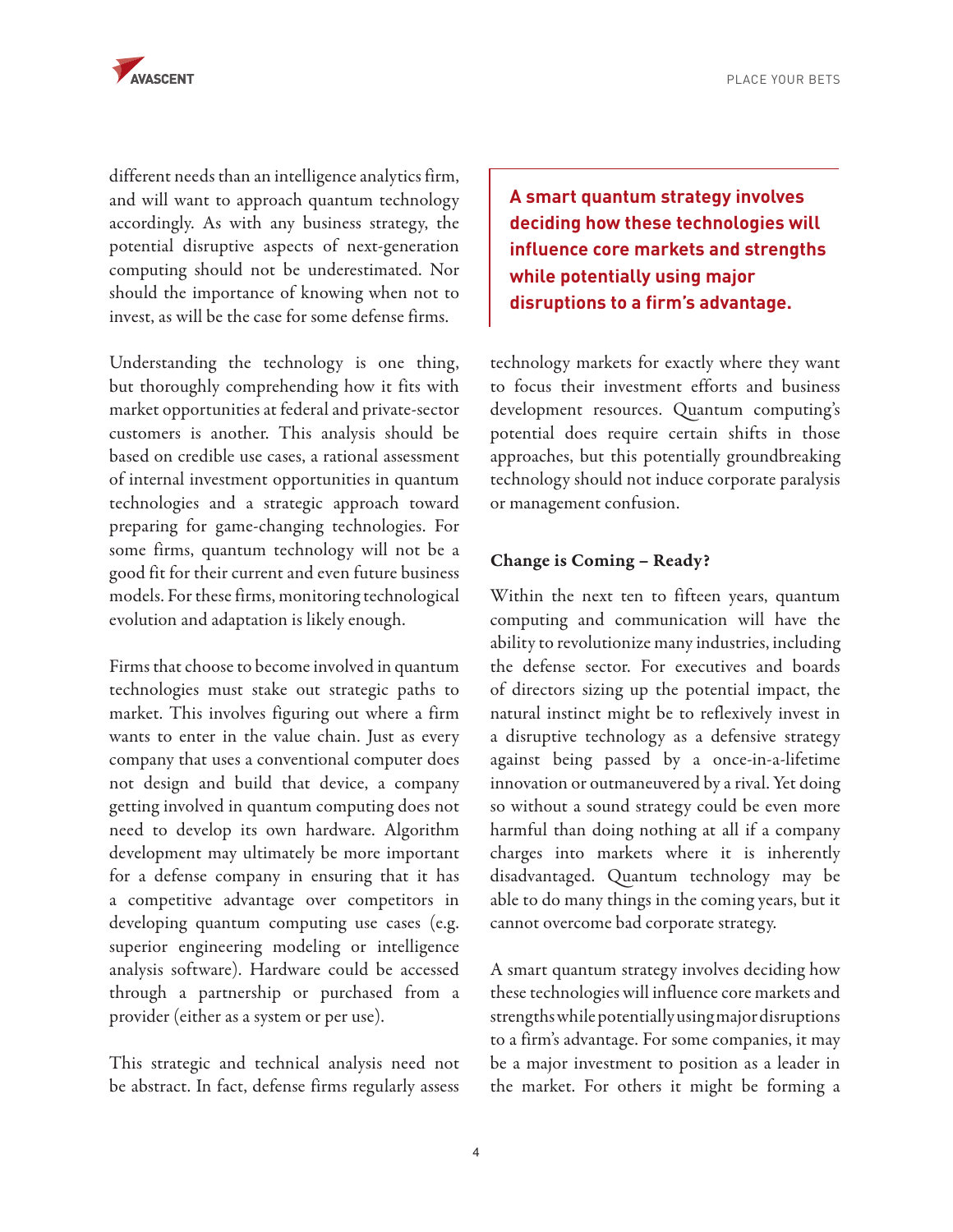PLACE YOUR BETS



different needs than an intelligence analytics firm, and will want to approach quantum technology accordingly. As with any business strategy, the potential disruptive aspects of next-generation computing should not be underestimated. Nor should the importance of knowing when not to invest, as will be the case for some defense firms.

Understanding the technology is one thing, but thoroughly comprehending how it fits with market opportunities at federal and private-sector customers is another. This analysis should be based on credible use cases, a rational assessment of internal investment opportunities in quantum technologies and a strategic approach toward preparing for game-changing technologies. For some firms, quantum technology will not be a good fit for their current and even future business models. For these firms, monitoring technological evolution and adaptation is likely enough.

Firms that choose to become involved in quantum technologies must stake out strategic paths to market. This involves figuring out where a firm wants to enter in the value chain. Just as every company that uses a conventional computer does not design and build that device, a company getting involved in quantum computing does not need to develop its own hardware. Algorithm development may ultimately be more important for a defense company in ensuring that it has a competitive advantage over competitors in developing quantum computing use cases (e.g. superior engineering modeling or intelligence analysis software). Hardware could be accessed through a partnership or purchased from a provider (either as a system or per use).

This strategic and technical analysis need not be abstract. In fact, defense firms regularly assess **A smart quantum strategy involves deciding how these technologies will influence core markets and strengths while potentially using major disruptions to a firm's advantage.** 

technology markets for exactly where they want to focus their investment efforts and business development resources. Quantum computing's potential does require certain shifts in those approaches, but this potentially groundbreaking technology should not induce corporate paralysis or management confusion.

## Change is Coming – Ready?

Within the next ten to fifteen years, quantum computing and communication will have the ability to revolutionize many industries, including the defense sector. For executives and boards of directors sizing up the potential impact, the natural instinct might be to reflexively invest in a disruptive technology as a defensive strategy against being passed by a once-in-a-lifetime innovation or outmaneuvered by a rival. Yet doing so without a sound strategy could be even more harmful than doing nothing at all if a company charges into markets where it is inherently disadvantaged. Quantum technology may be able to do many things in the coming years, but it cannot overcome bad corporate strategy.

A smart quantum strategy involves deciding how these technologies will influence core markets and strengths while potentially using major disruptions to a firm's advantage. For some companies, it may be a major investment to position as a leader in the market. For others it might be forming a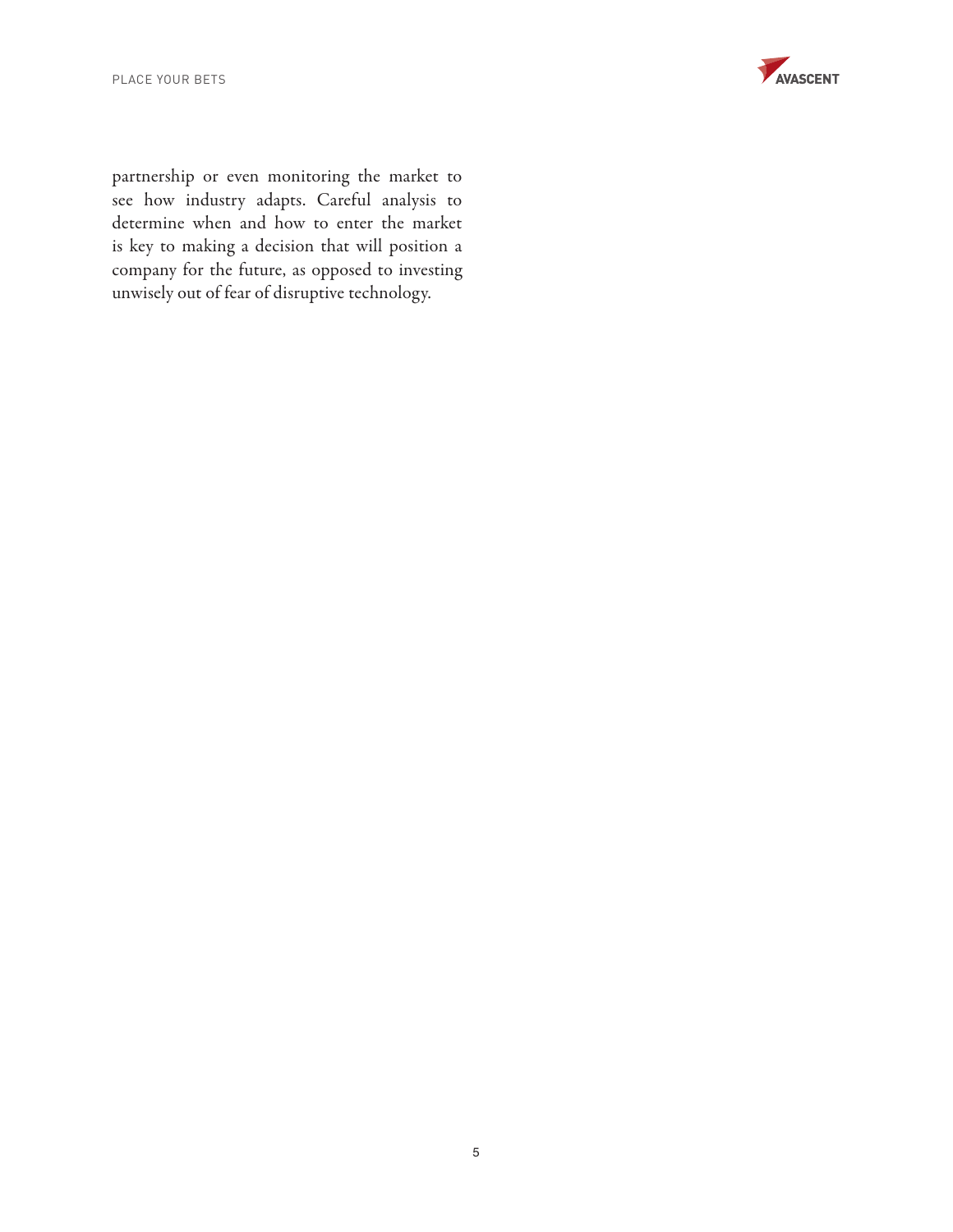PLACE YOUR BETS



partnership or even monitoring the market to see how industry adapts. Careful analysis to determine when and how to enter the market is key to making a decision that will position a company for the future, as opposed to investing unwisely out of fear of disruptive technology.